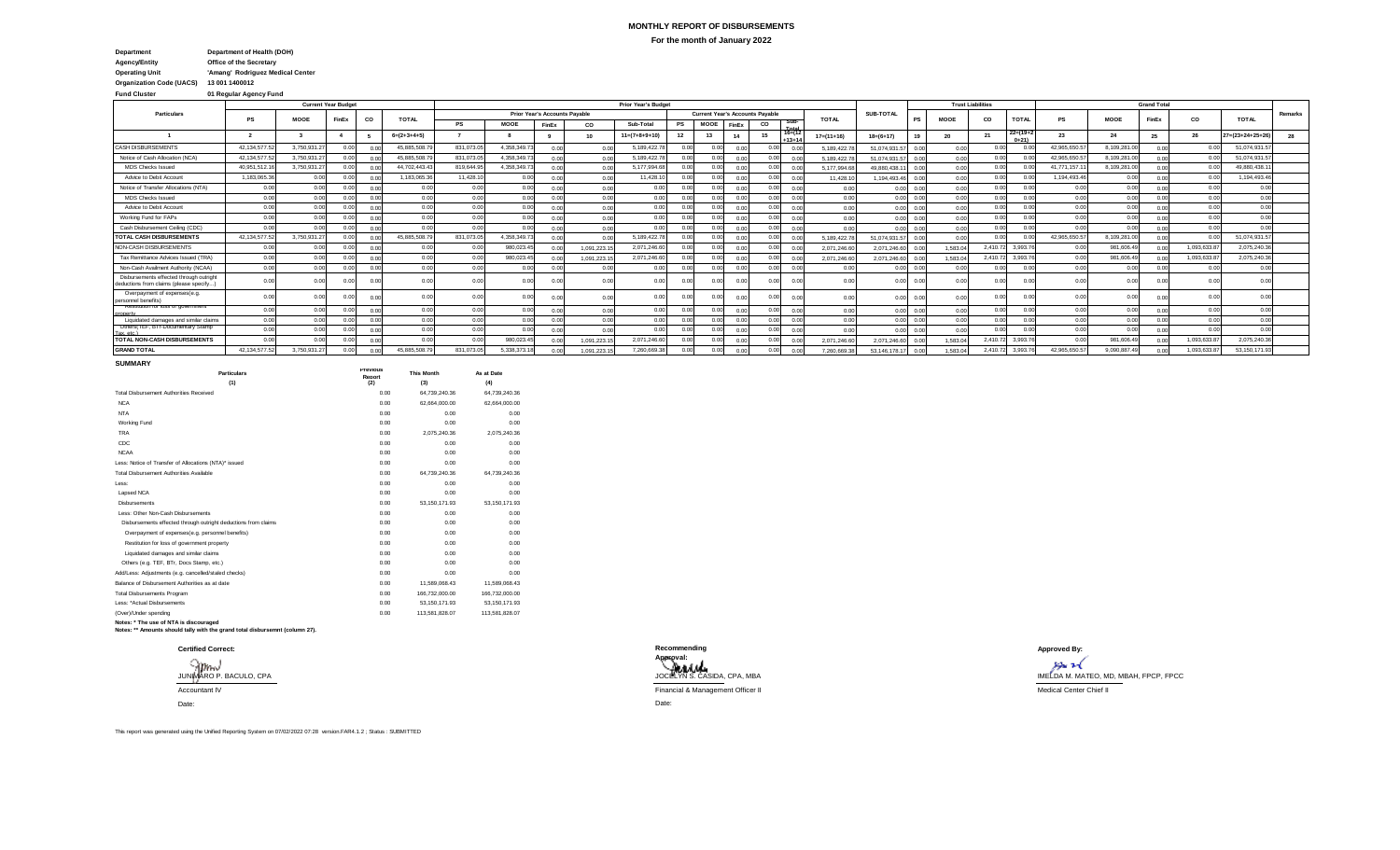## **MONTHLY REPORT OF DISBURSEMENTS For the month of January 2022**

| Department                      | Department of Health (DOH)       |
|---------------------------------|----------------------------------|
| <b>Agency/Entity</b>            | <b>Office of the Secretary</b>   |
| <b>Operating Unit</b>           | 'Amang' Rodriguez Medical Center |
| <b>Organization Code (UACS)</b> | 13 001 1400012                   |

# **Fund Cluster 01 Regular Agency Fund**

|                                                                                   |                 |             | <b>Current Year Budget</b> |      |               |           |              |                                      |            | <b>Prior Year's Budget</b> |      |                                        |                |      |                     |               |                   |      |             | <b>Trust Liabilities</b> |                         |              |                | <b>Grand Total</b> |             |                            |         |
|-----------------------------------------------------------------------------------|-----------------|-------------|----------------------------|------|---------------|-----------|--------------|--------------------------------------|------------|----------------------------|------|----------------------------------------|----------------|------|---------------------|---------------|-------------------|------|-------------|--------------------------|-------------------------|--------------|----------------|--------------------|-------------|----------------------------|---------|
| Particulars                                                                       | PS              | <b>MOOE</b> | FinEx                      | co   | <b>TOTAL</b>  |           |              | <b>Prior Year's Accounts Pavable</b> |            |                            |      | <b>Current Year's Accounts Pavable</b> |                |      |                     | <b>TOTAL</b>  | SUB-TOTAL         |      | <b>MOOE</b> | CO                       | <b>TOTAL</b>            | PS           | <b>MOOE</b>    | FinEx              | CO          | <b>TOTAL</b>               | Remarks |
|                                                                                   |                 |             |                            |      |               | <b>PS</b> | <b>MOOE</b>  | FinEx                                | co         | Sub-Total                  | PS   | <b>MOOE</b>                            | FinEx          | CO   | Sub-                |               |                   |      |             |                          |                         |              |                |                    |             |                            |         |
|                                                                                   |                 |             |                            |      | $6=(2+3+4+5)$ |           |              |                                      | 10         | $11=(7+8+9+10)$            |      | 13                                     | 14             |      | $16=(12)$<br>$+13+$ | $17= (11+16)$ | $18=(6+17)$       |      | 20          |                          | $22=(19+2)$<br>$0 + 21$ | 23           | 24             | 25                 |             | $27 = (23 + 24 + 25 + 26)$ |         |
| CASH DISBURSEMENTS                                                                | 42.134.577.5    | 3,750,931.2 | n nn                       | 0.00 | 45.885.508.   | 831.073.0 | 4,358,349.7  | n nn                                 | 0.00       | 5,189,422.7                |      |                                        | $\bigcap$      | 0.00 |                     | 5.189.422.7   | 51.074.931.5      | 0.00 | 0.00        | 0.00                     |                         | 42.965.650.5 | 8.109.281.0    | 0.00               |             | 51.074.931.                |         |
| Notice of Cash Allocation (NCA)                                                   | 42, 134, 577.5  | 3,750,931.2 | 0.00                       | 0.00 | 45.885.508.7  | 831,073.0 | 4,358,349.73 | 0.00                                 | 0.00       | 5, 189, 422.7              |      |                                        | $\bigcap$      | n nn |                     | 5.189.422.7   | 51.074.931.       | 0.00 | 0.00        | 0.00                     |                         | 42.965.650.5 | 8,109,281.0    | 0.00               | 0.00        | 51,074,931.5               |         |
| <b>MDS Checks Issued</b>                                                          | 40.951.512.     | 3,750,931.2 | n nn                       |      | 44.702.443.4  | 819,644.9 | 4.358.349.7  |                                      |            | 5,177,994.6                |      |                                        | $\bigcap$      | n nn |                     | 5.177.994.6   | 49.880.438.       | 0.01 | 0.00        | 0.00                     |                         | 41.771.157.1 | 8,109,281.0    |                    | 00          | 49.880.438.1               |         |
| Advice to Debit Account                                                           | 1,183,065.3     | 0.00        | 0.00                       | 0.00 | 1,183,065.3   | 11,428.1  | 0.00         | 0.00                                 | 0.00       | 11,428.                    | n nn | n nn                                   | $\bigcap$      | 0.00 |                     | 11.428.1      | 1.194.493.4       | 0.01 | 0.00        | 0.00                     | 0.00                    | 1,194,493.4  | 0.00           | 0.00               | 0.00        | 1,194,493.4                |         |
| Notice of Transfer Allocations (NTA)                                              | 0.00            | 0.00        | 0.00                       | 0.00 | 0.00          | 0.00      | 0.00         |                                      | 0.00       | 0.00                       |      |                                        |                | n nn |                     | 0.00          |                   | 0.0  | 0.00        | 0.00                     | 0.00                    | 0.00         | 0.00           |                    | 0.00        | 0.00                       |         |
| <b>MDS Checks Issued</b>                                                          | 0.00            | 0.00        | 0.00                       | 0.00 | 0.00          | 0.00      | 0.00         |                                      | 0.00       | 0.00                       |      |                                        |                | n nn |                     | 0.00          | 0.00 <sup>1</sup> | 0.01 | 0.00        | 0.00                     |                         | 0.00         | 0.00           | 0.00               | 0.00        | 0.00                       |         |
| Advice to Debit Account                                                           | 0.00            | 0.00        | n nn                       | 0.00 | 0.00          | 0.00      | 0.00         |                                      | 0.00       | 0.00                       |      |                                        |                | 0.00 |                     | 0.00          | 0.001             | 0.0  | 0.00        | 0.00                     |                         | 0.00         | 0.00           | 0.00               | 0.00        | 0.00                       |         |
| Working Fund for FAPs                                                             | 0.00            | 0.00        | 0.00                       | 0.00 | 0.00          | 0.00      | 0.00         |                                      | 0.00       | 0.00                       |      |                                        | $\bigcap$      | 0.00 |                     | 0.00          | $0.00 -$          | 0.01 | 0.00        | 0.00                     |                         | 0.00         | 0.00           | 0.0                | 0.00        | 0.00                       |         |
| Cash Disbursement Ceiling (CDC)                                                   | 0.00            | 0.00        | 0.00                       | 0.00 | 0.00          | 0.00      | 0.00         | 0.00                                 | 0.00       | 0.00                       |      |                                        | $\bigcap$      | 0.00 |                     | 0.00          | 0.00              | 0.00 | 0.00        | 0.00                     |                         | 0.00         | 0.00           | 0.00               | 0.00        | 0.00                       |         |
| <b>TOTAL CASH DISBURSEMENTS</b>                                                   | 42, 134, 577.5  | 3,750,931.2 | 0.00                       | 0.00 | 45.885.508.7  | 831,073.0 | 4,358,349.73 | 0.00                                 | n or       | 5, 189, 422.7              |      |                                        | 0 <sup>1</sup> | 0.00 |                     | 5.189.422.7   | 51.074.931.       | 0.00 | 0.00        | 0.00                     | 0.00                    | 42,965,650.5 | 8,109,281.0    | 0.00               | 0.00        | 51,074,931.5               |         |
| NON-CASH DISBURSEMENTS                                                            | 0.00            | 0.00        |                            | 0.0  | 0.00          |           | 980.023.4    |                                      | 1.091.223. | 2.071.246.6                |      |                                        |                |      |                     | 2.071.246.6   | 2.071.246.6       | 0.0  | 1.583.04    | 2.410.72                 | 3,993.76                | 0.00         | 981,606.4      |                    | 1.093.633.8 | 2.075.240.3                |         |
| Tax Remittance Advices Issued (TRA)                                               | 0.00            | 0.00        |                            | 0.0  | 0.00          | n nr      | 980.023.4    |                                      | 1.091.223. | 2.071.246.6                |      |                                        |                | 0.00 |                     | 2.071.246.6   | 2.071.246.6       |      | 1.583.0     | 2.410.72                 | 3,993.76                | 0.00         | 981,606.4      |                    | 1.093.633.  | 2.075.240.36               |         |
| Non-Cash Availment Authority (NCAA)                                               | 0.00            | 0.00        | 0.00                       | 0.00 | 0.00          | 0.00      | 0.00         |                                      |            | 0.00                       | 0.00 |                                        |                | n nn |                     | 0.00          | lon.o             | 0.00 | 0.00        | 0.00                     | 0.00                    | 0.00         | 0.00           |                    | n no        | 0.00                       |         |
| Disbursements effected through outright<br>leductions from claims (please specify | 0.00            | 0.00        | 0.00                       |      | 0.00          |           | 0.00         |                                      | 0.00       | 0.01                       |      |                                        |                | 0.00 |                     | 0.00          |                   |      | 0.00        | 0.00                     |                         | 0.00         | 0 <sup>0</sup> |                    |             | 0.00                       |         |
| Overpayment of expenses(e.g.<br>personnel benefits)                               | 0.00            | 0.00        | 0.00                       | n n  | 0.00          | 0.00      | 0.00         |                                      | n nn       | 0.00                       | 0.00 | 0.0                                    | 00             | 0.00 |                     | 0.00          | 0.00              |      | 0.00        | 0.00                     | 0.00                    | 0.00         | 0.00           | n n                | 0.00        | 0.00                       |         |
| kestitution for loss or government                                                | 0.00            | 0.00        | 0.00                       | 0.00 | 0.00          | 0.00      | 0.00         |                                      | n nn       | 0.00                       | n nr |                                        |                | 0.00 |                     | 0.00          | 0.00              | 0.0  | 0.00        | 0.00                     | 0.00                    | 0.00         | 0.00           | 0.0                | 0.00        | 0.00                       |         |
| Liquidated damages and similar claims                                             | 0.00            | 0.00        | 0.00                       | 0.00 | 0.00          | 0.00      | 0.00         |                                      | 0.00       | 0.00                       |      |                                        |                | 0.00 |                     | 0.00          | 0.001             | 0.01 | 0.00        | 0.00                     |                         | 0.00         | 0.00           | 0.00               | 0.00        | 0.00                       |         |
| Uthers (TEF, BIT-Documentary Stamp                                                | 0.00            | 0.00        |                            | 0.0  | 0.00          | 0.00      | 0.00         |                                      | n nr       | 0 <sup>c</sup>             |      |                                        | $\Omega$       | 0.00 |                     | 0.00          |                   | 0.01 | 0.00        | 0.00                     |                         | 0.00         | 0 <sup>c</sup> | 0.00               |             | 0.00                       |         |
| <b>TOTAL NON-CASH DISBURSEMENTS</b>                                               | 0.00            | 0.00        |                            | 0.00 | 0.00          |           | 980.023.4    |                                      | 1,091,223. | 2.071.246.6                |      |                                        | 0.0            |      |                     | 2,071,246.6   | 2,071,246.6       | 0.0  | 1,583.04    | 2.410.72                 | 3,993.76                | 0.00         | 981,606.4      | 0.0                | 1.093.633.  | 2.075.240.3                |         |
| <b>GRAND TOTAL</b>                                                                | 42, 134, 577.52 | 3,750,931.2 | 0.00                       | 0.0  | 45.885.508.7  | 831,073.0 | 5.338.373.18 |                                      | 1,091,223. | 7,260,669.                 | n nn |                                        | 0 <sup>c</sup> | 0.00 |                     | 7.260.669.3   | 53.146.178.1      | 0.00 | 1.583.04    | 2,410.72                 | 3,993.76                | 42.965.650.5 | 9,090,887.49   |                    | 1,093,633.  | 53, 150, 171.9             |         |

**SUMMARY**

| <b>Particulars</b>                                             | <b>Previous</b><br>Report | <b>This Month</b> | As at Date     |
|----------------------------------------------------------------|---------------------------|-------------------|----------------|
| (1)                                                            | (2)                       | (3)               | (4)            |
| <b>Total Disbursement Authorities Received</b>                 | 0.00                      | 64,739,240.36     | 64,739,240.36  |
| <b>NCA</b>                                                     | 0.00                      | 62.664.000.00     | 62,664,000.00  |
| <b>NTA</b>                                                     | 0.00                      | 0.00              | 0.00           |
| Working Fund                                                   | 0.00                      | 0.00              | 0.00           |
| <b>TRA</b>                                                     | 0.00                      | 2.075.240.36      | 2.075.240.36   |
| CDC                                                            | 0.00                      | 0.00              | 0.00           |
| <b>NCAA</b>                                                    | 0.00                      | 0.00              | 0.00           |
| Less: Notice of Transfer of Allocations (NTA)* issued          | 0.00                      | 0.00              | 0.00           |
| Total Disbursement Authorities Available                       | 0.00                      | 64.739.240.36     | 64.739.240.36  |
| Less:                                                          | 0.00                      | 0.00              | 0.00           |
| Lapsed NCA                                                     | 0.00                      | 0.00              | 0.00           |
| <b>Disbursements</b>                                           | 0.00                      | 53,150,171.93     | 53,150,171.93  |
| Less: Other Non-Cash Disbursements                             | 0.00                      | 0.00              | 0.00           |
| Disbursements effected through outright deductions from claims | 0.00                      | 0.00              | 0.00           |
| Overpayment of expenses(e.g. personnel benefits)               | 0.00                      | 0.00              | 0.00           |
| Restitution for loss of government property                    | 0.00                      | 0.00              | 0.00           |
| Liquidated damages and similar claims                          | 0.00                      | 0.00              | 0.00           |
| Others (e.g. TEF, BTr, Docs Stamp, etc.)                       | 0.00                      | 0.00              | 0.00           |
| Add/Less: Adjustments (e.g. cancelled/staled checks)           | 0.00                      | 0.00              | 0.00           |
| Balance of Disbursement Authorities as at date                 | 0.00                      | 11.589.068.43     | 11.589.068.43  |
| <b>Total Disbursements Program</b>                             | 0.00                      | 166,732,000.00    | 166,732,000.00 |
| Less: *Actual Disbursements                                    | 0.00                      | 53.150.171.93     | 53.150.171.93  |
| (Over)/Under spending                                          | 0.00                      | 113.581.828.07    | 113.581.828.07 |

**Notes: \* The use of NTA is discouraged Notes: \*\* Amounts should tally with the grand total disbursemnt (column 27).**







This report was generated using the Unified Reporting System on 07/02/2022 07:28 version.FAR4.1.2 ; Status : SUBMITTED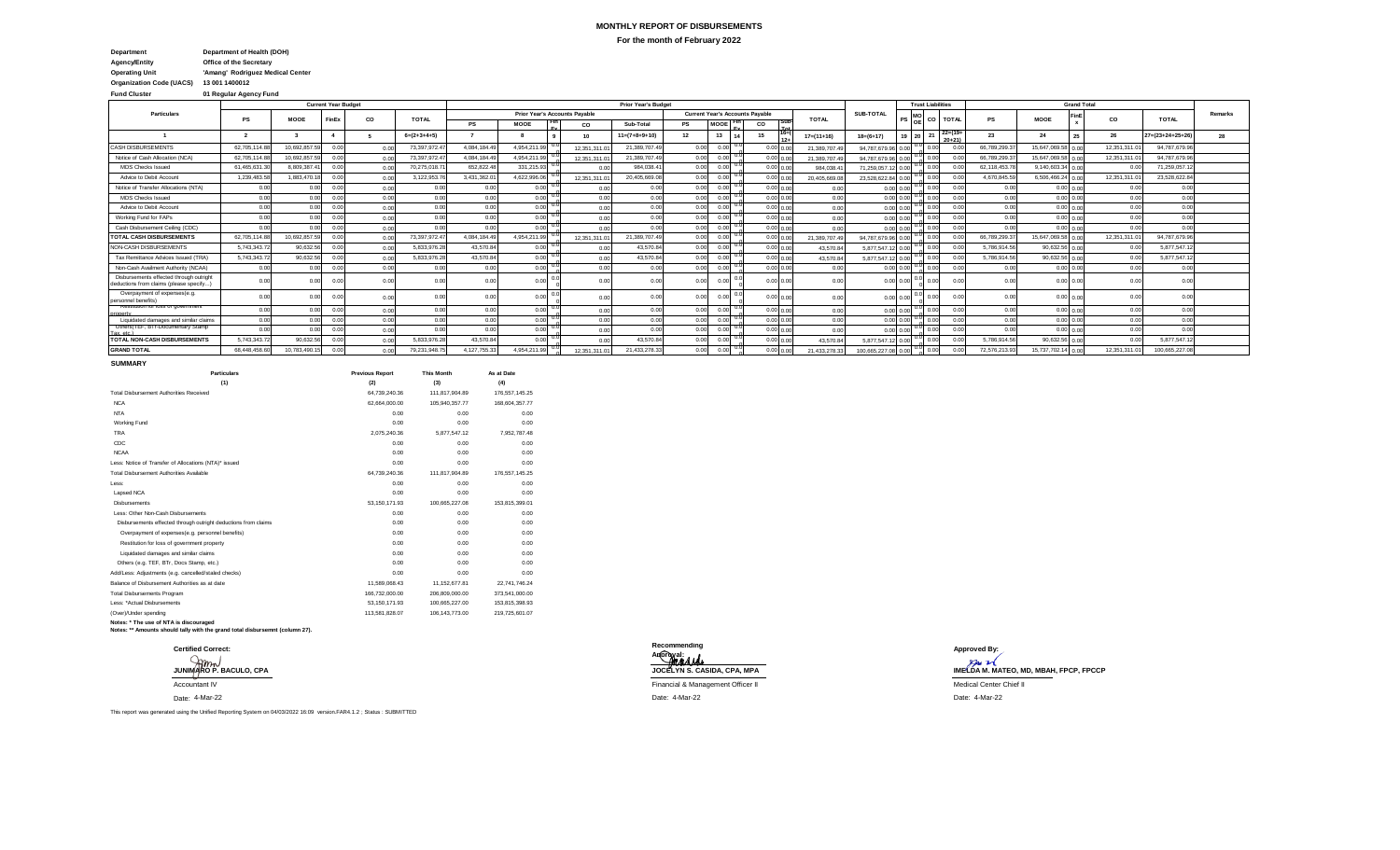## **MONTHLY REPORT OF DISBURSEMENTS For the month of February 2022**

**Agency/Entity Office of the Secretary Department Department of Health (DOH)**

**Operating Unit 'Amang' Rodriguez Medical Center**

**Organization Code (UACS) 13 001 1400012**

**Fund Cluster 01 Regular Agency Fund**

|                                                                                   |              |               | <b>Current Year Budget</b> |      |               |             |                   |                                      | <b>Prior Year's Budget</b> |                 |                                        |                |                  |                   |               | <b>Trust Liabilities</b> |                         |              |                     | <b>Grand Total</b> |               |                            |         |
|-----------------------------------------------------------------------------------|--------------|---------------|----------------------------|------|---------------|-------------|-------------------|--------------------------------------|----------------------------|-----------------|----------------------------------------|----------------|------------------|-------------------|---------------|--------------------------|-------------------------|--------------|---------------------|--------------------|---------------|----------------------------|---------|
| <b>Particulars</b>                                                                |              | MOOE          | FinEx                      | CO   | <b>TOTAL</b>  |             |                   | <b>Prior Year's Accounts Pavable</b> |                            |                 | <b>Current Year's Accounts Pavable</b> |                | <b>TOTAL</b>     | SUB-TOTAL         |               | CO                       | <b>TOTAL</b>            |              | <b>MOOE</b>         | FinE               | CO.           | <b>TOTAL</b>               | Remarks |
|                                                                                   |              |               |                            |      |               | <b>PS</b>   | MOOE              | CO                                   | Sub-Total                  | PS              | MOOE                                   | CO             |                  |                   |               |                          |                         |              |                     |                    |               |                            |         |
|                                                                                   |              |               |                            |      | $6=(2+3+4+5)$ |             |                   | 10                                   | $11=(7+8+9+10)$            | 12 <sup>2</sup> | 13                                     |                | $17 = (11 + 16)$ | $18=(6+17)$       | 19            | z                        | $22=(19+$<br>$20 + 211$ | 23           | 24                  |                    | 26            | $27 = (23 + 24 + 25 + 26)$ | 28      |
| <b>CASH DISBURSEMENTS</b>                                                         | 62.705.114.8 | 10.692.857.59 | 0.00                       | 0.00 | 73.397.972.4  | 4.084.184.4 | 4.954.211.9       | 12.351.311.                          | 21.389.707.49              | 0.00            |                                        | 0.00 0.00      | 21.389.707.4     | 94.787.679.96 0.0 |               | 0.00                     | $\Omega$                | 66,789,299.3 | 15.647.069.58 0.00  |                    | 12.351.311.0  | 94,787,679.96              |         |
| Notice of Cash Allocation (NCA)                                                   | 62.705.114.8 | 10.692.857.59 | 0.00                       | 0.00 | 73,397,972.47 | 4.084.184.4 | 4,954,211.99      | 12.351.311.0                         | 21,389,707.49              | n nn            | n nn                                   | 0.00 0.00      | 21.389.707.49    | 94.787.679.96 0.0 |               | 0.00                     |                         | 66,789,299.3 | 15,647,069.58 0.00  |                    | 12,351,311.0  | 94,787,679.96              |         |
| MDS Checks Issued                                                                 | 61,465,631.3 | 8.809.387.4   | 0.00                       | 0.00 | 70,275,018.7  | 652.822.4   | 331,215.93        | 0.0                                  | 984,038.4                  | 0.00            |                                        | 0.00 0.00      | 984,038.4        | 71.259.057.       |               | 0.00                     |                         | 62.118.453.7 | 9,140,603.34        | 0.00               |               | 71,259,057.1               |         |
| Advice to Debit Account                                                           | 1.239.483.5  | 1.883.470.18  | 0.00                       | 0.00 | 3,122,953.7   | 3.431.362.0 | 4.622.996.06      | 12.351.311.0                         | 20,405,669.08              | 0.00            | 0.00                                   | 0.00 0.00      | 20,405,669.0     | 23.528.622.84 0.0 |               | 0.00                     | $^{\circ}$              | 4,670,845.59 | $6,506,466.24$ 0.00 |                    | 12.351.311.01 | 23.528.622.8               |         |
| Notice of Transfer Allocations (NTA)                                              | 0.00         | 0.00          | 0.00                       | 0.00 | 0.00          | 0.00        | 0.00              | 0.00                                 | 0.00                       | 0.00            | 0.00                                   | 0.00 0.00      | 0.00             |                   | 0.00 0.00     | 0.00                     | 0 <sup>0</sup>          | 0.00         |                     | $0.00 \quad 0.00$  | 0.00          | 0.00                       |         |
| MDS Checks Issued                                                                 | 0.00         | 0.00          | 0.00                       | 0.00 | 0.00          | 0.00        | 0.00              | g<br>G<br>0.00                       | 0.00                       | 0.00            |                                        | 0.00 0.00      | 0.00             |                   | $0.00 \ 0.0$  | 0.00                     | 0 <sup>0</sup>          | 0.00         |                     | $0.00 \quad 0.00$  | 0.00          | 0.00                       |         |
| Advice to Debit Account                                                           | 0.00         | 0.00          | 0.00                       | 0.00 | 0.00          | 0.00        | 0.00              | 0.00                                 | 0.00                       | 0.00            |                                        | $0.00\ 0.00$   | 0.00             |                   | $0.00 \ 0.0$  |                          | 0 <sup>1</sup>          | 0.00         |                     | $0.00 \quad 0.00$  | 0.00          | 0.00                       |         |
| Working Fund for FAPs                                                             | 0.00         | 0.00          | 0.00                       | 0.00 | 0.00          | 0.00        | $0.00 \quad 0.0$  | 0.00                                 | 0.00                       | 0.00            |                                        | 0.00 0.00      | 0.00             |                   | 0.00 0.0      |                          | $^{\circ}$              | 0.00         |                     | $0.00\ 0.00$       | 0.00          | 0.00                       |         |
| Cash Disbursement Ceiling (CDC)                                                   | 0.00         | 0.00          | 0.00                       | 0.00 | 0.00          | 0.00        | $0.00 \times 0.0$ | 0.00                                 | 0.00                       | 0.00            | 0.00                                   | 0.00 0.00      | 0.00             |                   | 0.00 0.0      | 0.00                     | 0.0                     | 0.00         |                     | $0.00\ 0.00$       | 0.00          | 0.00                       |         |
| TOTAL CASH DISBURSEMENTS                                                          | 62.705.114.8 | 10.692.857.59 | 0.00                       | 0.00 | 73,397,972.4  | 4.084.184.4 | 4.954.211.99      | 12.351.311.                          | 21,389,707.49              | 0.00            | n nn                                   | $0.00 \, 0.00$ | 21,389,707.4     | 94,787,679.9      |               | 0.00                     |                         | 66,789,299.3 | 15,647,069.58 0.00  |                    | 12,351,311.0  | 94,787,679.96              |         |
| NON-CASH DISBURSEMENTS                                                            | 5,743,343.7  | 90.632.56     | 0.00                       | 0.00 | 5,833,976.2   | 43,570.8    | $0.00 \times 0.0$ | 0.00                                 | 43,570.8                   | 0.00            | n nn                                   | 0.00 0.00      | 43,570.84        | 5.877.547.1       |               | 0.00                     |                         | 5,786,914.56 | 90,632.56 0.00      |                    | 0.00          | 5,877,547.1                |         |
| Tax Remittance Advices Issued (TRA)                                               | 5,743,343.7  | 90.632.56     | 0.00                       | 0.00 | 5,833,976.2   | 43.570.8    | 0.00              | 0.00                                 | 43,570.8                   |                 |                                        | 0.00 0.00      | 43,570.84        | 5.877.547.1       |               |                          |                         | 5,786,914.56 | 90,632.56 0.00      |                    | 0.00          | 5,877,547.1                |         |
| Non-Cash Availment Authority (NCAA)                                               | 0.00         | 0.00          | 0.00                       | 0.00 | 0.00          | 0.00        | 0.00              | 0.00                                 | 0.00                       | 0.00            | 0.00                                   | 0.00 0.00      | 0.00             | $0.00\,0.0$       |               | 0.00                     | 0 <sup>0</sup>          | 0.00         |                     | $0.00 \quad 0.00$  | 0.00          | 0.00                       |         |
| Disbursements effected through outright<br>deductions from claims (please specify | 0.00         | 0.00          | 0.00                       | 0.00 | 0.00          | 0.0         |                   | 0.00                                 | 0.00                       | n nr            |                                        | 0.0000000      | 0.00             |                   | $0.00 \ 0.00$ |                          |                         | 0.00         |                     | 0.000000           |               | 0.00                       |         |
| Overpayment of expenses(e.g.<br>personnel benefits)                               | 0.00         | 0.00          | 0.00                       | 0.00 | 0.00          | 0.0         | 0.00              | 0.00                                 | 0.00                       | n nn            |                                        | 0.00<br>0.00   | 0.00             | $0.00 \ 0.0$      |               | 0.00                     |                         | n n          |                     | $0.00 \quad 0.00$  | 0.00          | 0.00                       |         |
| restitution for loss of government                                                | 0.00         | 0.00          | 0.00                       | 0.00 | 0.00          | 0.00        | $0.00^{0.00}$     | 0.00                                 | 0.00                       | 0.00            |                                        | 0.00 0.00      | 0.00             |                   | $0.00 \ 0.0$  | 0.00                     | 0.0                     | 0.00         |                     | $0.00 \quad 0.00$  | 0.00          | 0.00                       |         |
| Liquidated damages and similar claims                                             | 0.00         | 0.00          | 0.00                       | 0.00 | 0.00          | 0.00        | $0.00 \times 0.0$ | 0.00                                 | 0.00                       | 0.00            | 0.00                                   | 0.00 0.00      | 0.00             |                   | $0.00 \ 0.0$  | 0.00                     | 0 <sup>0</sup>          | 0.00         |                     | $0.00\ 0.00$       | 0.00          | 0.00                       |         |
| Uthers (TEP, BTFDocumentary Stamp                                                 | 0.00         | 0.00          | 0.00                       | 0.00 | 0.00          | 0.00        | 0.00              | U.U<br>0.00                          | 0.00                       | 0.00            | 0.00                                   | 0.00 0.00      | 0.00             |                   | 0.00 0.0      | 0.00                     | $^{\circ}$              | 0.00         |                     | 0.00 0.00          | 0.00          | 0.00                       |         |
| TOTAL NON-CASH DISBURSEMENTS                                                      | 5,743,343.7  | 90.632.56     | 0.00                       | 0.00 | 5,833,976.2   | 43,570.8    | $0.001$ $0.0$     | 0.00                                 | 43,570.8                   | 0.00            | n nn                                   | 0.00 0.00      | 43,570.84        | 5.877.547.        |               |                          |                         | 5,786,914.56 | 90,632.56 0.00      |                    | 0.00          | 5,877,547.1                |         |
| <b>GRAND TOTAL</b>                                                                | 68,448,458.6 | 10.783.490.   | 0.00                       | 0.00 | 79,231,948.7  | 4,127,755.  | 4.954.211         | 12.351.311.                          | 21,433,278.3               | n nn            |                                        | 0.00 0.00      | 21.433.278.3     | 100.665.227       |               | 0.00                     |                         | 72,576,213.9 | 15,737,702.14       | 0.00               | 12,351,311.   | 100,665,227.0              |         |

**SUMMARY**

| <b>Particulars</b>                                             | <b>Previous Report</b> | <b>This Month</b> | As at Date       |
|----------------------------------------------------------------|------------------------|-------------------|------------------|
| (1)                                                            | (2)                    | (3)               | (4)              |
| <b>Total Disbursement Authorities Received</b>                 | 64.739.240.36          | 111.817.904.89    | 176, 557, 145.25 |
| <b>NCA</b>                                                     | 62.664.000.00          | 105.940.357.77    | 168.604.357.77   |
| <b>NTA</b>                                                     | 0.00                   | 0.00              | 0.00             |
| Working Fund                                                   | 0.00                   | 0.00              | 0.00             |
| <b>TRA</b>                                                     | 2.075.240.36           | 5.877.547.12      | 7.952.787.48     |
| CDC                                                            | 0.00                   | 0.00              | 0.00             |
| <b>NCAA</b>                                                    | 0.00                   | 0.00              | 0.00             |
| Less: Notice of Transfer of Allocations (NTA)* issued          | 0.00                   | 0.00              | 0.00             |
| Total Disbursement Authorities Available                       | 64,739,240.36          | 111.817.904.89    | 176.557.145.25   |
| Less:                                                          | 0.00                   | 0.00              | 0.00             |
| Lapsed NCA                                                     | 0.00                   | 0.00              | 0.00             |
| <b>Disbursements</b>                                           | 53.150.171.93          | 100.665.227.08    | 153.815.399.01   |
| Less: Other Non-Cash Disbursements                             | 0.00                   | 0.00              | 0.00             |
| Disbursements effected through outright deductions from claims | 0.00                   | 0.00              | 0.00             |
| Overpayment of expenses(e.g. personnel benefits)               | 0.00                   | 0.00              | 0.00             |
| Restitution for loss of government property                    | 0.00                   | 0.00              | 0.00             |
| Liquidated damages and similar claims                          | 0.00                   | 0.00              | 0.00             |
| Others (e.g. TEF, BTr, Docs Stamp, etc.)                       | 0.00                   | 0.00              | 0.00             |
| Add/Less: Adiustments (e.g. cancelled/staled checks)           | 0.00                   | 0.00              | 0.00             |
| Balance of Disbursement Authorities as at date                 | 11.589.068.43          | 11.152.677.81     | 22,741,746.24    |
| <b>Total Disbursements Program</b>                             | 166.732.000.00         | 206,809,000.00    | 373,541,000.00   |
| Less: *Actual Disbursements                                    | 53.150.171.93          | 100.665.227.00    | 153.815.398.93   |
| (Over)/Under spending                                          | 113.581.828.07         | 106.143.773.00    | 219,725,601.07   |
|                                                                |                        |                   |                  |

**Notes: \* The use of NTA is discouraged Notes: \*\* Amounts should tally with the grand total disbursemnt (column 27).**

| <b>Certified Correct:</b><br>JUNIMARO P. BACULO, CPA |
|------------------------------------------------------|
| <b>Accountant IV</b>                                 |
| Date: 4-Mar-22                                       |

**Certified Correct: Approved By: Recommending Approval:**

4-Mar-22 Date: 4-Mar-22 Date: 4-Mar-22

**JUNA AMA<br>JOCELYN S. CASIDA, CPA, MPA IMELDA M. MATEO, MD, MBAH, FPCP, FPCCP** Financial & Management Officer II **Accountant IV Financial Center Chief II** Medical Center Chief II

This report was generated using the Unified Reporting System on 04/03/2022 16:09 version.FAR4.1.2 ; Status : SUBMITTED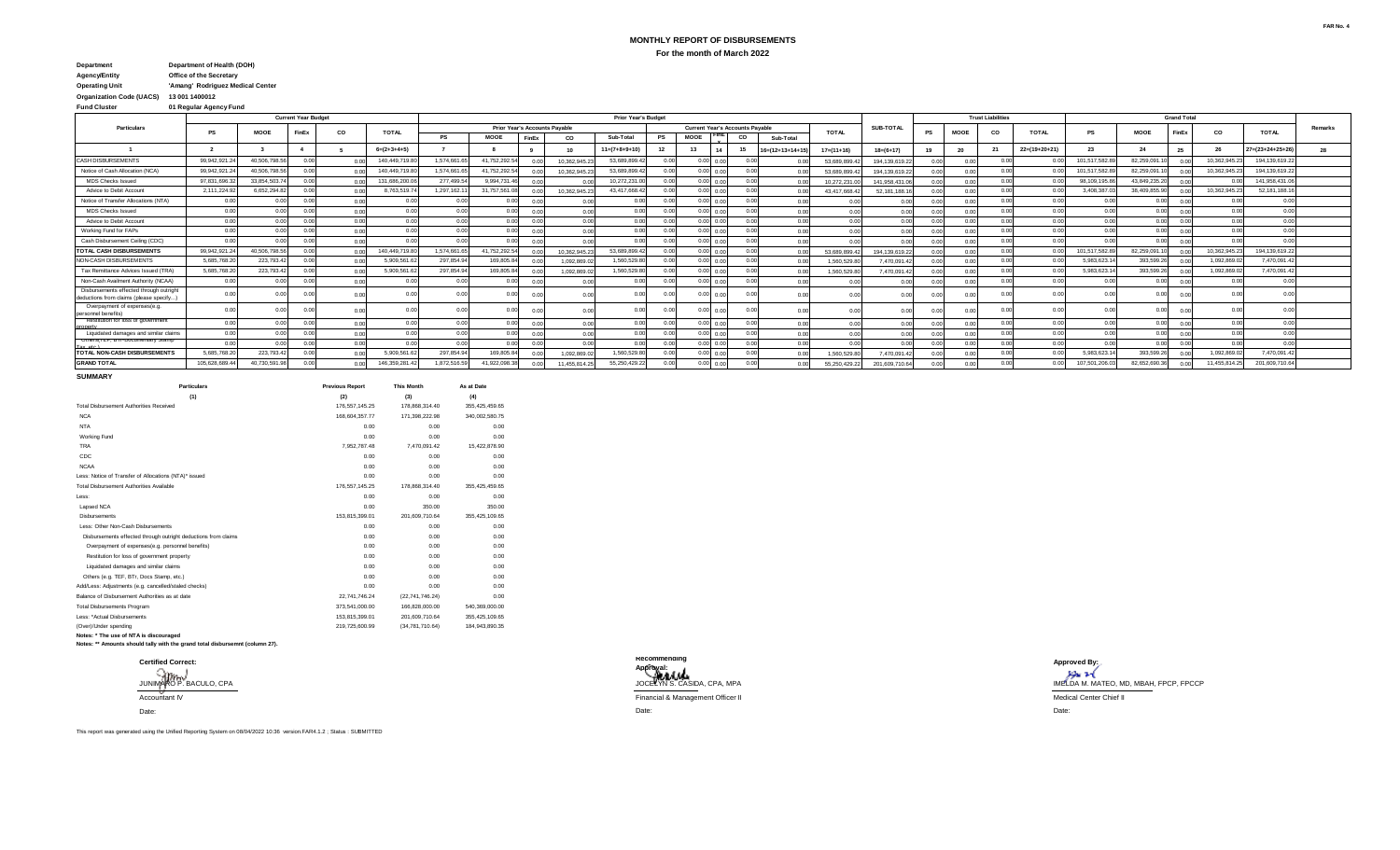# **MONTHLY REPORT OF DISBURSEMENTS For the month of March 2022**

#### **Agency/Entity Office of the Secretary Operating Unit 'Amang' Rodriguez Medical Center Organization Code (UACS) 13 001 1400012 Department Department of Health (DOH)**

**Fund Cluster 01 Regular Agency Fund**

|                                                                                    |              |              | <b>Current Year Budget</b> |      |                |                            |                               |       |              | <b>Prior Year's Budget</b> |      |                                        |                |                            |                |               |                |             | <b>Trust Liabilities</b> |                 |               |               | <b>Grand Total</b>         |                |                           |         |
|------------------------------------------------------------------------------------|--------------|--------------|----------------------------|------|----------------|----------------------------|-------------------------------|-------|--------------|----------------------------|------|----------------------------------------|----------------|----------------------------|----------------|---------------|----------------|-------------|--------------------------|-----------------|---------------|---------------|----------------------------|----------------|---------------------------|---------|
| <b>Particulars</b>                                                                 | PS           | <b>MOOE</b>  | FinEx                      | CO   | <b>TOTAL</b>   |                            | Prior Year's Accounts Payable |       |              |                            |      | <b>Current Year's Accounts Payable</b> |                |                            | <b>TOTAL</b>   | SUB-TOTAL     | PS             | <b>MOOF</b> | CO.                      | <b>TOTAL</b>    | PS            | <b>MOOE</b>   | FinEx                      | CO             | <b>TOTAL</b>              | Remarks |
|                                                                                    |              |              |                            |      |                | <b>PS</b>                  | <b>MOOE</b>                   | FinEx | CO           | Sub-Total                  | PS   | <b>MOOE</b>                            | CO             | Sub-Total                  |                |               |                |             |                          |                 |               |               |                            |                |                           |         |
|                                                                                    |              |              |                            |      | $6=(2+3+4+5)$  |                            |                               |       | 10           | $11=(7+8+9+10)$            |      |                                        | 15             | $16 = (12 + 13 + 14 + 15)$ | $17=(11+16)$   | $18=(6+17)$   |                | -20         | 21                       | $22=(19+20+21)$ | 23            |               |                            | 26             | $27 = (23 + 24 + 25 + 2)$ | 28      |
| <b>CASH DISBURSEMENTS</b>                                                          | 99.942.921   | 40.506.798.5 |                            |      | 140.449.719.   | 1.574.661.                 | 41.752.292.5                  |       | 10.362.945.  | 53.689.899.                | n nn | $0.00 \quad 0.00$                      |                |                            | 53.689.899.    | 194.139.619.2 |                |             |                          | 0.0             | 101,517,582.8 | 82.259.091.1  |                            | 10.362.945.    | 194.139.619.2             |         |
| Notice of Cash Allocation (NCA)                                                    | 99,942,921   | 40.506.798.5 |                            |      | 140.449.719.   | 1.574.661.                 | 41,752,292.5                  |       | 10.362.945.2 | 53.689.899.                | 0.00 | $0.00 \quad 0.00$                      |                | 0 <sup>0</sup>             | 53,689,899     | 194.139.619.2 | 0 <sup>0</sup> | 0.00        | 0.00                     | 0.0             | 101,517,582.8 | 82.259.091.10 |                            | 10,362,945.2   | 194.139.619.2             |         |
| <b>MDS Checks Issued</b>                                                           | 97.831.696   | 33.854.503.  |                            |      | 131.686.200.   | 277,499.5                  | 9.994.731.                    | 0.00  |              | 10.272.231.                | 0.00 | $0.00 \quad 0.00$                      |                |                            | 10.272.231.    | 141.958.431.  |                | 0.00        | 0.0                      | 0.0             | 98.109.195.8  | 43.849.235.2  |                            |                | 141.958.431.0             |         |
| Advice to Debit Account                                                            | 2,111,224    | 6,652,294.   |                            |      | 8.763.519.7    | 1,297,162.1                | 31.757.561.                   |       | 10.362.945.2 | 43.417.668.                |      | 0.001                                  |                |                            | 43.417.668.    | 52.181.188.   |                |             |                          | 0 <sup>c</sup>  | 3.408.387.0   | 38.409.855.9  |                            | 10,362,945.2   | 52.181.188.1              |         |
| Notice of Transfer Allocations (NTA)                                               | 0.00         | 0.00         |                            |      |                | 0.00                       | 00                            | 0.0   | 0.00         | n nn                       | 0.00 | 0.00                                   |                | 0 <sup>1</sup>             |                |               | 0 <sub>0</sub> |             |                          | 0.0             | 0.00          | 0.00          | n n                        | 0 <sup>0</sup> |                           |         |
| <b>MDS Checks Issued</b>                                                           | 0.00         | 0.00         |                            | 0.00 | 0 <sub>0</sub> | 0.00                       | 0.0                           | 00    | 0.00         | 0.00                       | n nn | $0.00 \quad 0.00$                      |                | $\bigcap$                  |                |               |                |             |                          | 0.0             | 0.00          | 0.00          | n no                       | 0.00           | 0 <sup>0</sup>            |         |
| Advice to Debit Account                                                            | 0.00         | 0.00         |                            | 0.00 | 0.00           | 0.00                       | 0.00                          | 00    | 0.00         | 0.00                       | 0.00 | 0.00                                   | 0.0            | 0.0                        | 0.00           | 0.00          | 0.00           | n nr        | 0.00                     | 0.00            | 0.00          | 0.00          | 0.00                       | 0.00           | 0.0                       |         |
| Working Fund for FAPs                                                              | 0.00         | 0.00         |                            | 0.00 | 0 <sub>n</sub> | 0.00                       | 0 <sup>0<sup>c</sup></sup>    | 0.0   | 0.00         | 0.00                       |      | 0.001<br>0.00                          | 0 <sup>0</sup> | 0.0                        | 0.0            |               |                |             | 0 <sup>0</sup>           | 0.00            | 0.00          | 0.00          | 0.00                       | 0.00           | 0 <sup>0</sup>            |         |
| Cash Disbursement Ceiling (CDC)                                                    | 0.00         | 0.00         |                            | 0.00 |                | 0.00                       | 0.00                          |       | 0.00         | 0.00                       |      | 0.00                                   | 00             | 0.0                        |                |               |                |             | 00                       | 0.00            | 0.00          | 0.00          | 0 <sup>0<sup>c</sup></sup> | 0.00           |                           |         |
| <b>TOTAL CASH DISBURSEMENTS</b>                                                    | 99.942.921.  | 40.506.798.5 |                            |      | 140.449.719.   | 1.574.661.                 | 41,752,292.5                  |       | 10.362.945.  | 53.689.899.                |      | $0.00 \quad 0.00$                      |                |                            | 53.689.899.    | 194.139.619.2 |                |             | 0 <sup>0</sup>           | 0.0             | 101,517,582.8 | 82.259.091.1  |                            | 10.362.945.    | 194.139.619.2             |         |
| NON-CASH DISBURSEMENTS                                                             | 5,685,768.2  | 223,793.4    |                            |      | 5,909,561.     | 297,854.9                  | 169,805.8                     |       | 1.092.869.   | 1,560,529.                 | 0.00 | $0.00 \quad 0.00$                      |                | 0 <sup>0</sup>             | 1.560.529.8    | 7.470.091.    | 0.00           | 00          | 0.0                      | 0.0             | 5.983.623.1   | 393,599.26    |                            | 1,092,869.     | 7,470,091.4               |         |
| Tax Remittance Advices Issued (TRA)                                                | 5,685,768.2  | 223,793.4    |                            |      | 5,909,561.     | 297,854.9                  | 169,805.84                    |       | 1.092.869.   | 1,560,529.8                |      | 0.00                                   |                |                            | 1.560.529.8    | 7.470.091.4   |                |             |                          | 0.0             | 5.983.623.1   | 393,599.26    |                            | 1,092,869.     | 7,470,091.4               |         |
| Non-Cash Availment Authority (NCAA)                                                | 0.00         | 0.00         |                            | 0.00 |                | 0 <sup>0<sup>c</sup></sup> | 0 <sup>n</sup>                | 00    | 0.00         |                            |      | 0.001                                  |                | 0.0                        | 0.0            |               |                |             |                          | 0.00            | 0.00          | 0.00          |                            | 0.01           |                           |         |
| Disbursements effected through outright<br>deductions from claims (please specify, |              |              |                            | 0.00 |                |                            |                               | 0.00  | 00           |                            |      |                                        | າ.ດດ           |                            | 00             |               |                |             |                          |                 |               | 0.0           |                            |                |                           |         |
| Overpayment of expenses(e.g.<br>personnel benefits)                                |              | 0.00         |                            |      |                | n no                       | 0.00                          | 0.00  |              | 0.00                       |      |                                        | ነ ሰበ           | 00                         |                |               |                |             |                          | 0.0             | 0.00          | 0.00          | n no                       | 0 <sub>0</sub> |                           |         |
| <b>Restitution for loss of government</b>                                          | 0.00         | 0.00         |                            | 0.01 |                | n nn                       | 0.0                           | 0.00  | 0.00         | 0.00                       | n or | 0.00                                   |                | 0.0                        | 0 <sup>0</sup> |               | n n            |             | 0.0                      | 0.0             | 0.00          | 0.00          | 0.00                       | 0.00           | 0 <sup>0</sup>            |         |
| Liquidated damages and similar claims                                              | 0.00         | 0.00         |                            | 0.00 |                | 0 <sup>0<sup>c</sup></sup> | 0 <sup>0<sup>c</sup></sup>    | 0.00  | 0.00         | 0.00                       |      | 0.00<br>0.00                           |                | 0.0                        | 0.00           |               | n nn           | n ni        | 0.0                      | 0.0             | 0.00          | 0.00          | 0 <sub>0</sub>             | 0.00           | 0.0                       |         |
| Uthers (TEP, BIT-Documentary Stamp                                                 | 0.00         | n nn         |                            |      |                | 0.00                       | 0.00                          | 0.00  | 0.00         | n nn                       | 0.00 | 0.00                                   | n nr           | 0 <sup>0</sup>             |                |               | 0 <sub>0</sub> |             | 0 <sup>0</sup>           | 0.0             | 0.00          | 0.00          | 0 <sub>0</sub>             | 0.00           | $\sim$                    |         |
| TOTAL NON-CASH DISBURSEMENTS                                                       | 5.685.768.2  | 223,793.4    |                            |      | 5.909.561.     | 297,854.9                  | 169,805.8                     |       | 1.092.869.   | 1,560,529.8                |      | 0.00<br>o oc                           |                |                            | 1.560.529.8    | 7.470.091.    |                |             |                          | 0 <sup>c</sup>  | 5.983.623.1   | 393,599.2     |                            | 1,092,869.     | 7,470,091.4               |         |
| <b>GRAND TOTAL</b>                                                                 | 105.628.689. | 40.730.591.  |                            |      | 146.359.281.   | 1.872.516.                 | 41.922.098.                   |       | 11.455.814.2 | 55.250.429.2               |      | $0.00 \quad 0.00$                      |                |                            | 55.250.429.2   | 201.609.710.  |                |             | 0 <sup>0</sup>           | 0.0             | 107.501.206.0 | 82.652.690.3  |                            | 11.455.814.2   | 201.609.710.6             |         |

#### **SUMMARY**

| <b>Particulars</b>                                             | <b>Previous Report</b> | <b>This Month</b> | As at Date     |  |
|----------------------------------------------------------------|------------------------|-------------------|----------------|--|
| (1)                                                            | (2)                    | (3)               | (4)            |  |
| <b>Total Disbursement Authorities Received</b>                 | 176.557.145.25         | 178,868,314.40    | 355,425,459.65 |  |
| <b>NCA</b>                                                     | 168.604.357.77         | 171.398.222.98    | 340,002,580.75 |  |
| <b>NTA</b>                                                     | 0.00                   | 0.00              | 0.00           |  |
| <b>Working Fund</b>                                            | 0.00                   | 0.00              | 0.00           |  |
| <b>TRA</b>                                                     | 7.952.787.48           | 7.470.091.42      | 15.422.878.90  |  |
| CDC                                                            | 0.00                   | 0.00              | 0.00           |  |
| <b>NCAA</b>                                                    | 0.00                   | 0.00              | 0.00           |  |
| Less: Notice of Transfer of Allocations (NTA)* issued          | 0.00                   | 0.00              | 0.00           |  |
| Total Disbursement Authorities Available                       | 176.557.145.25         | 178.868.314.40    | 355,425,459.65 |  |
| Less:                                                          | 0.00                   | 0.00              | 0.00           |  |
| Lapsed NCA                                                     | 0.00                   | 350.00            | 350.00         |  |
| <b>Dishursements</b>                                           | 153.815.399.01         | 201.609.710.64    | 355.425.109.65 |  |
| Less: Other Non-Cash Disbursements                             | 0.00                   | 0.00              | 0.00           |  |
| Disbursements effected through outright deductions from claims | 0.00                   | 0.00              | 0.00           |  |
| Overpayment of expenses(e.g. personnel benefits)               | 0.00                   | 0.00              | 0.00           |  |
| Restitution for loss of government property                    | 0.00                   | 0.00              | 0.00           |  |
| Liquidated damages and similar claims                          | 0.00                   | 0.00              | 0.00           |  |
| Others (e.g. TEF, BTr, Docs Stamp, etc.)                       | 0.00                   | 0.00              | 0.00           |  |
| Add/Less: Adjustments (e.g. cancelled/staled checks)           | 0.00                   | 0.00              | 0.00           |  |
| Balance of Disbursement Authorities as at date                 | 22.741.746.24          | (22.741.746.24)   | 0.00           |  |
| <b>Total Disbursements Program</b>                             | 373.541.000.00         | 166.828.000.00    | 540.369.000.00 |  |
| Less: *Actual Disbursements                                    | 153.815.399.01         | 201,609,710.64    | 355,425,109.65 |  |
| (Over)/Under spending                                          | 219.725.600.99         | (34.781.710.64)   | 184.943.890.35 |  |
|                                                                |                        |                   |                |  |

**Notes: \* The use of NTA is discouraged Notes: \*\* Amounts should tally with the grand total disbursemnt (column 27).**



**Certified Correct: Approved By: Recommending Approval:** JOCELYN S. CASIDA, CPA, MPA Accountant IV Medical Center Chief II<br>Accountant IV Medical Center Chief II Date: Date: ADDROINE.<br>JUNIMARO P. BACULO, CPA IMELDA M. MATEO, MD, MBAH, FPCP, FPCCP, FPCCP, FPCCP, FPCCP, FPCCP, FPCCP, FPCCP, FPCP, FPCP, FPCCP, FROM MATEO, MD, MBAH, FPCP, FPCCP, FPCCP, FPCCP, FPCCP, FROM MATEO, MD, MBAH, FPCP, FPC

This report was generated using the Unified Reporting System on 08/04/2022 10:36 version.FAR4.1.2 ; Status : SUBMITTED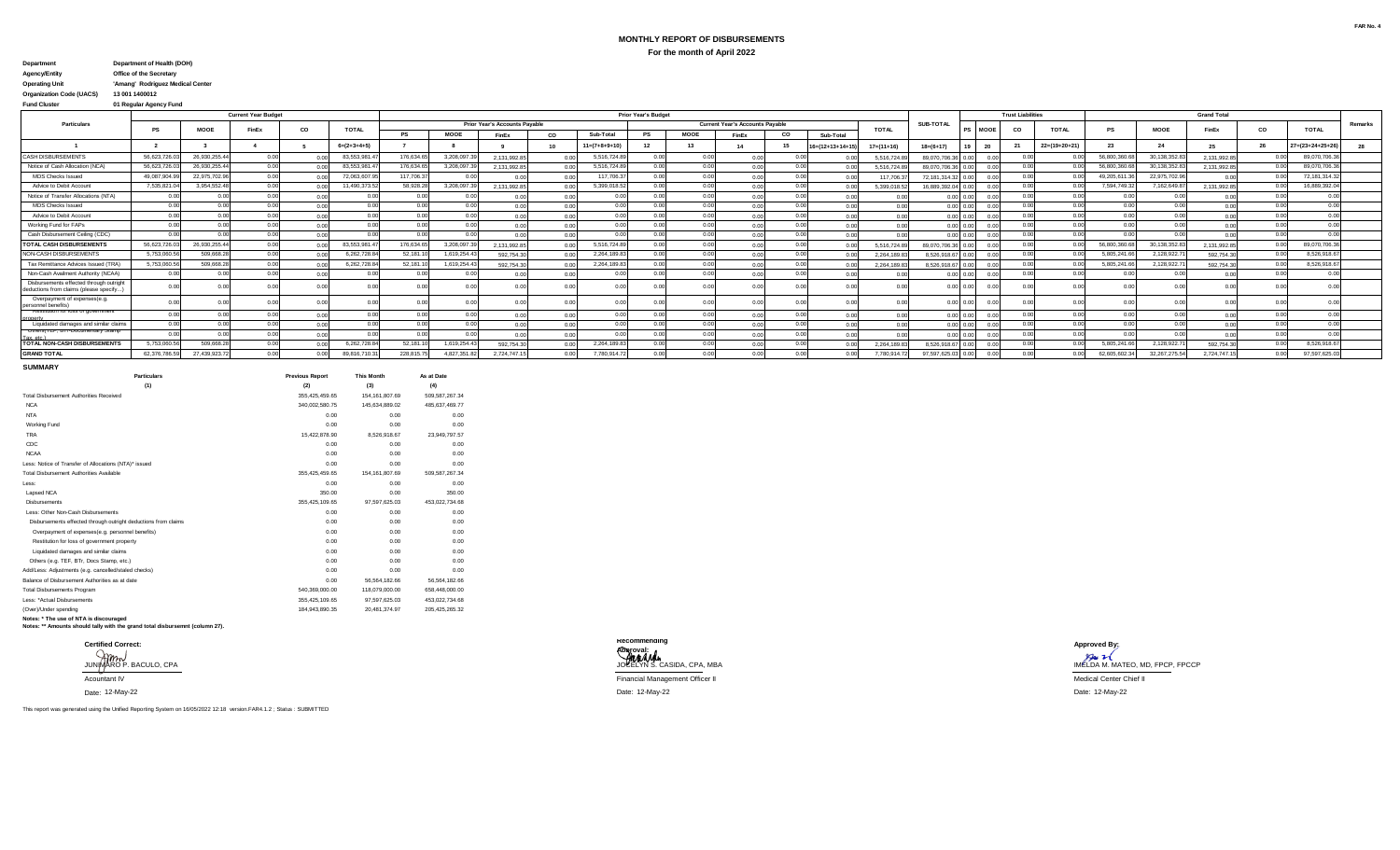# **MONTHLY REPORT OF DISBURSEMENTS For the month of April 2022**

#### **Department Department of Health (DOH)**

### **Agency/Entity Office of the Secretary**

# **Operating Unit 'Amang' Rodriguez Medical Center**

**Organization Code (UACS)** 

#### **Fund Cluster 01 Regular Agency Fund**

|                                                                                   |             |               | <b>Current Year Budget</b> |      |               |           |             |                                      |      |                        | <b>Prior Year's Budget</b> |             |                                        |       |                            |              |                   |             | <b>Trust Liabilities</b> |                 |              |                 | <b>Grand Total</b> |       |                   |         |
|-----------------------------------------------------------------------------------|-------------|---------------|----------------------------|------|---------------|-----------|-------------|--------------------------------------|------|------------------------|----------------------------|-------------|----------------------------------------|-------|----------------------------|--------------|-------------------|-------------|--------------------------|-----------------|--------------|-----------------|--------------------|-------|-------------------|---------|
| <b>Particulars</b>                                                                | PS          | <b>MOOE</b>   | <b>FinEx</b>               | co   | <b>TOTAL</b>  |           |             | <b>Prior Year's Accounts Pavable</b> |      |                        |                            |             | <b>Current Year's Accounts Pavable</b> |       |                            | <b>TOTAL</b> | <b>SUB-TOTAL</b>  | <b>MOOE</b> | CO                       | <b>TOTAL</b>    |              | <b>MOOE</b>     | FinEx              | CO    | <b>TOTAL</b>      | Remarks |
|                                                                                   |             |               |                            |      |               | PS        | MOOE        | FinEx                                | CO.  | Sub-Total              | PS                         | <b>MOOE</b> | <b>FinEx</b>                           | co    | Sub-Total                  |              |                   |             |                          |                 |              |                 |                    |       |                   |         |
|                                                                                   |             |               |                            |      | $6=(2+3+4+5)$ |           |             |                                      | 10   | $11 = (7 + 8 + 9 + 1)$ |                            |             |                                        | 15    | $16 = (12 + 13 + 14 + 11)$ | $17=(11+16)$ | $18=(6+17)$       |             |                          | $22=(19+20+21)$ | 23           |                 |                    | - 26  | $27= (23+24+25+)$ |         |
| <b>CASH DISBURSEMENTS</b>                                                         | 56,623,726  | 26.930.255.4  |                            |      | 83,553,981    | 176,634.6 | 3.208.097.  | 2.131.992.85                         |      | 5,516,724.8            | 0.00                       |             | 0.00                                   |       |                            | 5.516.724.8  | 89.070.706.36     |             |                          |                 | 56,800,360   | 30.138.352.8    | 2,131,992.8        |       | 89,070,706.3      |         |
| Notice of Cash Allocation (NCA)                                                   | 56,623,726  | 26,930,255.44 |                            |      | 83,553,981    | 176,634.6 | 3.208.097.3 | 2.131.992.85                         |      | 5,516,724.8            | 0.00                       |             | 0.00                                   | 0.00  |                            | 5.516.724.8  | 89.070.706.3      |             |                          |                 | 56,800,360.  | 30.138.352.8    | 2.131.992.8        |       | 89,070,706.3      |         |
| <b>MDS Checks Issued</b>                                                          | 49.087.904. | 22.975.702.96 |                            |      | 72,063,607.9  | 117,706.3 | 0.0         | n nr                                 |      | 117,706.3              | 0.00                       |             | n no                                   | 0.00  |                            | 117,706.3    | 72.181.314.3      |             |                          |                 | 49.205.611.  | 22.975.702.9    | 0.0                | 0.00  | 72, 181, 314.32   |         |
| Advice to Debit Account                                                           | 7,535,821   | 3,954,552.4   |                            |      | 11,490,373.   | 58,928.2  | 3,208,097.  | 2.131.992.85                         |      | 5,399,018.5            |                            |             | 0.00                                   |       |                            | 5.399.018.5  | 16.889.392.04     |             |                          |                 | 7.594.749.3  | 7,162,649.8     | 2.131.992.8        |       | 16,889,392.0      |         |
| Notice of Transfer Allocations (NTA)                                              | 0.00        | 0.00          | 000                        | 0.00 | 0.00          |           | n nr        |                                      | 0.00 |                        | $\Omega$                   |             | 0.00                                   | 0.00  |                            |              |                   | 0.00 0.00   |                          | 0.00<br>0.00    |              |                 | 0.0                | 0.00  | 0.00              |         |
| <b>MDS Checks Issued</b>                                                          | 0.00        | 0.00          |                            |      | 0.00          | n nn      | n nr        |                                      |      | 0.00                   | 0 <sup>0</sup>             |             | n no                                   | 0.00  |                            |              | 0.00000           |             | 0.00                     | 0.00            | 0.00         |                 |                    | 0.001 | 0.00              |         |
| Advice to Debit Account                                                           | 0.00        | 0.00          |                            |      | 0.00          |           |             |                                      |      | 0.00                   |                            |             | 0.00                                   | 0.00  |                            |              | 0.00 0.0          |             |                          | 00              | n nr         |                 |                    |       |                   |         |
| Working Fund for FAPs                                                             | 0.00        | 0.00          |                            |      | 0.00          |           |             |                                      |      | n nn                   |                            |             | n no                                   | n nn  |                            |              | $0.00 \quad 0.0$  |             |                          | 0.00            | n nr         |                 |                    | 0.00  | 0.00              |         |
| Cash Disbursement Ceiling (CDC)                                                   | 0.00        | 0.00          | . വ                        |      | 0.00          | n nn      | 0.00        |                                      |      | n nn                   | 0 <sup>0</sup>             |             | 0.00                                   | 0.00  |                            |              |                   |             |                          | 0.00            | n nr         |                 | 0 <sup>0</sup>     | n nn  | 0.00              |         |
| <b>TOTAL CASH DISBURSEMENTS</b>                                                   | 56.623.726  | 26.930.255.44 |                            |      | 83.553.981.   | 176,634.  | 3.208.097.  | 2.131.992.85                         |      | 5.516.724.8            |                            |             | n nr                                   | n nn  |                            | 5.516.724.8  | 89.070.706.36     |             |                          |                 | 56,800,360.  | 30.138.352.8    | 2,131,992.8        | 0.00  | 89,070,706.36     |         |
| NON-CASH DISBURSEMENTS                                                            | 5.753.060.  | 509,668.2     | n nn                       |      | 6,262,728.8   | 52,181.   | 1,619,254.4 | 592.754.30                           |      | 2,264,189.8            | n ni                       |             | 0.00                                   | 0.00  |                            | 2.264.189.8  | 8,526,918.6       |             |                          |                 | 5,805,241.6  | 2,128,922.7     | 592,754.3          | 0.00  | 8,526,918.67      |         |
| Tax Remittance Advices Issued (TRA)                                               | 5,753,060.  | 509,668.2     |                            |      | 6,262,728.8   | 52,181.   | 1,619,254.4 | 592.754.30                           |      | 2,264,189.8            |                            |             | 0.00                                   | 0.00  |                            | 2.264.189.8  | 8.526.918.67 0.00 |             |                          |                 | 5,805,241.6  | 2,128,922.7     | 592.754.3          | 0.00  | 8,526,918.67      |         |
| Non-Cash Availment Authority (NCAA)                                               | 0.00        | 0.00          |                            |      | 0.00          |           | 0.00        | 0.00                                 |      | 0.OC                   | 0.00                       |             | 0.00                                   | 0.00  |                            |              | $0.00 \quad 0.0$  |             | 0.00                     |                 |              |                 | 0.0                | 0.00  | 0.00              |         |
| Disbursements effected through outright<br>deductions from claims (please specify |             |               |                            |      |               |           |             |                                      |      |                        |                            |             | n nr                                   |       |                            |              |                   |             |                          |                 |              |                 |                    |       |                   |         |
| Overpayment of expenses(e.g<br>personnel benefits)                                |             | 0.00          |                            |      |               |           | 0.00        |                                      |      |                        |                            |             | n nr                                   |       |                            |              |                   | 0.001000    |                          |                 |              |                 |                    |       |                   |         |
| <b>Restration for loss of government</b><br><b>Ironerty</b>                       | 0.00        | 0.00          |                            | 0.00 | 0.00          |           | 0.00        |                                      | 0.00 | 0.00                   |                            |             | 0.00                                   | 0.00  |                            |              |                   | 0.00 0.00   |                          | 0.00            | n nr         |                 |                    |       | 0.00              |         |
| Liquidated damages and similar claims                                             | n nn        | 0.00          |                            |      | 0.00          |           | 0.00        |                                      |      | 0.00                   | 0 <sup>0</sup>             |             | 0.00                                   | 0.00  |                            |              | $0.00 - 0.00$     |             |                          | 0.00            | 0.00         |                 | 0.0                |       | 0.00              |         |
| Uthers (TEF, BTF-Documentary Stamp                                                | 0.00        | 0.00          |                            |      |               |           |             |                                      |      |                        |                            |             |                                        |       |                            |              | 0.00 0.0          |             |                          |                 |              |                 |                    |       |                   |         |
| TOTAL NON-CASH DISBURSEMENTS                                                      | 5,753,060.5 | 509,668.2     | . വ                        |      | 6,262,728.84  | 52,181.1  | 1,619,254.4 | 592.754.30                           |      | 2,264,189.8            |                            |             |                                        | 0.00  |                            | 2.264.189.8  | 8.526.918.6       |             |                          |                 | 5,805,241.6  | 2,128,922.7     | 592.754.3          | 0.00  | 8,526,918.67      |         |
| <b>GRAND TOTAL</b>                                                                | 62,376,786  | 27,439,923.7  |                            |      | 89,816,710.3  | 228.815.7 | 4,827,351.8 | 2.724.747.15                         |      | 7,780,914.7            |                            |             |                                        | 0.001 |                            | 7.780.914.7  | 97,597,625.0      |             |                          |                 | 62,605,602.3 | 32, 267, 275.54 | 2.724.747.1        | 0.00  | 97,597,625.03     |         |

#### **SUMMARY**

| <b>Particulars</b>                                                           | <b>Previous Report</b> | <b>This Month</b> | As at Date     |
|------------------------------------------------------------------------------|------------------------|-------------------|----------------|
| (1)                                                                          | (2)                    | (3)               | (4)            |
| <b>Total Disbursement Authorities Received</b>                               | 355.425.459.65         | 154.161.807.69    | 509.587.267.34 |
| <b>NCA</b>                                                                   | 340.002.580.75         | 145.634.889.02    | 485,637,469.77 |
| <b>NTA</b>                                                                   | 0.00                   | 0.00              | 0.00           |
| Working Fund                                                                 | 0.00                   | 0.00              | 0.00           |
| <b>TRA</b>                                                                   | 15.422.878.90          | 8.526.918.67      | 23,949,797.57  |
| CDC                                                                          | 0.00                   | 0.00              | 0.00           |
| <b>NCAA</b>                                                                  | 0.00                   | 0.00              | 0.00           |
| Less: Notice of Transfer of Allocations (NTA)* issued                        | 0.00                   | 0.00              | 0.00           |
| Total Disbursement Authorities Available                                     | 355.425.459.65         | 154.161.807.69    | 509.587.267.34 |
| Less:                                                                        | 0.00                   | 0.00              | 0.00           |
| Lapsed NCA                                                                   | 350.00                 | 0.00              | 350.00         |
| <b>Dishursements</b>                                                         | 355.425.109.65         | 97.597.625.03     | 453,022,734.68 |
| Less: Other Non-Cash Disbursements                                           | 0.00                   | 0.00              | 0.00           |
| Disbursements effected through outright deductions from claims               | 0.00                   | 0.00              | 0.00           |
| Overpayment of expenses(e.g. personnel benefits)                             | 0.00                   | 0.00              | 0.00           |
| Restitution for loss of government property                                  | 0.00                   | 0.00              | 0.00           |
| Liquidated damages and similar claims                                        | 0.00                   | 0.00              | 0.00           |
| Others (e.g. TEF, BTr, Docs Stamp, etc.)                                     | 0.00                   | 0.00              | 0.00           |
| Add/Less: Adjustments (e.g. cancelled/staled checks)                         | 0.00                   | 0.00              | 0.00           |
| Balance of Disbursement Authorities as at date                               | 0.00                   | 56.564.182.66     | 56,564,182.66  |
| <b>Total Disbursements Program</b>                                           | 540.369.000.00         | 118,079,000.00    | 658,448,000.00 |
| Less: *Actual Disbursements                                                  | 355.425.109.65         | 97.597.625.03     | 453.022.734.68 |
| (Over)/Under spending                                                        | 184.943.890.35         | 20,481,374.97     | 205.425.265.32 |
| Notes: * The use of NTA is discouraged                                       |                        |                   |                |
| Notes: ** Amounts should tally with the grand total disbursemnt (column 27). |                        |                   |                |

Date: 12-May-22

This report was generated using the Unified Reporting System on 16/05/2022 12:18 version.FAR4.1.2 ; Status : SUBMITTED



12-May-22 Date: 12-May-22 Date: 12-May-22

JUNIMARO P. BACULO, CPA JUNIMARO P. BACULO, CPA JOCELYN S. CASIDA, CPA, MBA JOCELYN S. CASIDA, CPA, MBA JOCELYN S. CASIDA, CPA, MBA JOCELYN S. CASIDA, CPA, MBA JOCELYN S. CASIDA, CPA, MBA JOCELYN S. CASIDA OF A MELDA M. MA